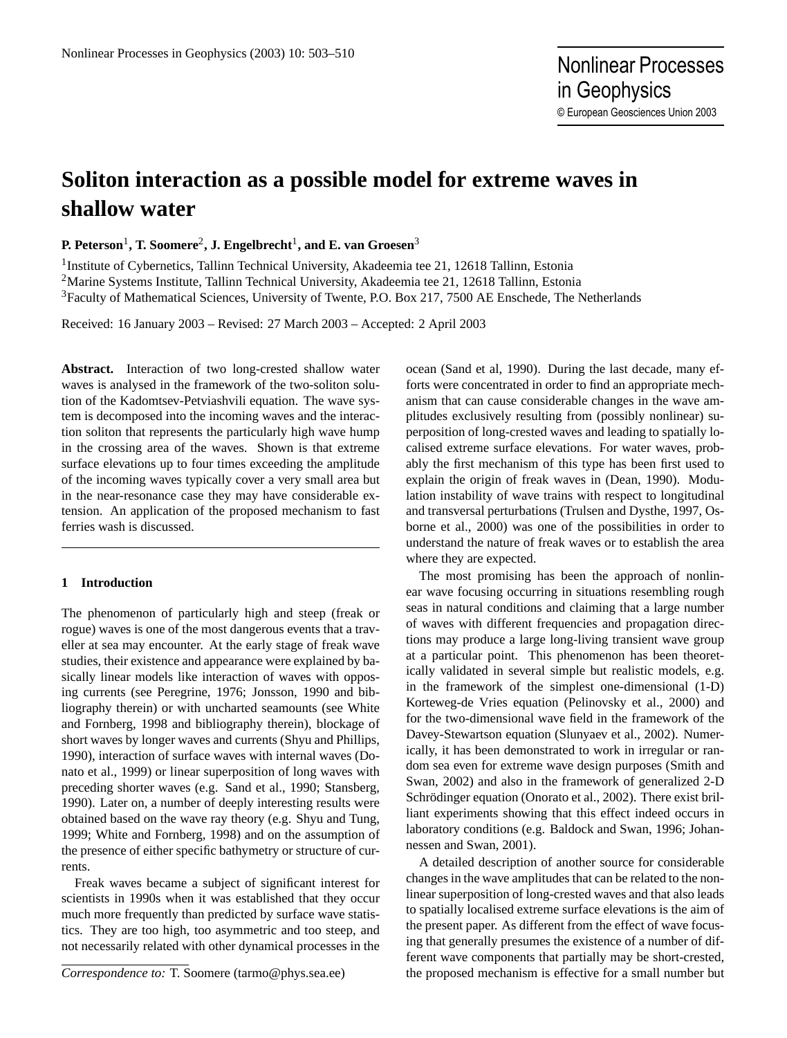# **Soliton interaction as a possible model for extreme waves in shallow water**

**P. Peterson**<sup>1</sup> **, T. Soomere**<sup>2</sup> **, J. Engelbrecht**<sup>1</sup> **, and E. van Groesen**<sup>3</sup>

<sup>1</sup>Institute of Cybernetics, Tallinn Technical University, Akadeemia tee 21, 12618 Tallinn, Estonia <sup>2</sup>Marine Systems Institute, Tallinn Technical University, Akadeemia tee 21, 12618 Tallinn, Estonia <sup>3</sup>Faculty of Mathematical Sciences, University of Twente, P.O. Box 217, 7500 AE Enschede, The Netherlands

Received: 16 January 2003 – Revised: 27 March 2003 – Accepted: 2 April 2003

**Abstract.** Interaction of two long-crested shallow water waves is analysed in the framework of the two-soliton solution of the Kadomtsev-Petviashvili equation. The wave system is decomposed into the incoming waves and the interaction soliton that represents the particularly high wave hump in the crossing area of the waves. Shown is that extreme surface elevations up to four times exceeding the amplitude of the incoming waves typically cover a very small area but in the near-resonance case they may have considerable extension. An application of the proposed mechanism to fast ferries wash is discussed.

## **1 Introduction**

The phenomenon of particularly high and steep (freak or rogue) waves is one of the most dangerous events that a traveller at sea may encounter. At the early stage of freak wave studies, their existence and appearance were explained by basically linear models like interaction of waves with opposing currents (see Peregrine, 1976; Jonsson, 1990 and bibliography therein) or with uncharted seamounts (see White and Fornberg, 1998 and bibliography therein), blockage of short waves by longer waves and currents (Shyu and Phillips, 1990), interaction of surface waves with internal waves (Donato et al., 1999) or linear superposition of long waves with preceding shorter waves (e.g. Sand et al., 1990; Stansberg, 1990). Later on, a number of deeply interesting results were obtained based on the wave ray theory (e.g. Shyu and Tung, 1999; White and Fornberg, 1998) and on the assumption of the presence of either specific bathymetry or structure of currents.

Freak waves became a subject of significant interest for scientists in 1990s when it was established that they occur much more frequently than predicted by surface wave statistics. They are too high, too asymmetric and too steep, and not necessarily related with other dynamical processes in the

*Correspondence to:* T. Soomere (tarmo@phys.sea.ee)

ocean (Sand et al, 1990). During the last decade, many efforts were concentrated in order to find an appropriate mechanism that can cause considerable changes in the wave amplitudes exclusively resulting from (possibly nonlinear) superposition of long-crested waves and leading to spatially localised extreme surface elevations. For water waves, probably the first mechanism of this type has been first used to explain the origin of freak waves in (Dean, 1990). Modulation instability of wave trains with respect to longitudinal and transversal perturbations (Trulsen and Dysthe, 1997, Osborne et al., 2000) was one of the possibilities in order to understand the nature of freak waves or to establish the area where they are expected.

The most promising has been the approach of nonlinear wave focusing occurring in situations resembling rough seas in natural conditions and claiming that a large number of waves with different frequencies and propagation directions may produce a large long-living transient wave group at a particular point. This phenomenon has been theoretically validated in several simple but realistic models, e.g. in the framework of the simplest one-dimensional (1-D) Korteweg-de Vries equation (Pelinovsky et al., 2000) and for the two-dimensional wave field in the framework of the Davey-Stewartson equation (Slunyaev et al., 2002). Numerically, it has been demonstrated to work in irregular or random sea even for extreme wave design purposes (Smith and Swan, 2002) and also in the framework of generalized 2-D Schrödinger equation (Onorato et al., 2002). There exist brilliant experiments showing that this effect indeed occurs in laboratory conditions (e.g. Baldock and Swan, 1996; Johannessen and Swan, 2001).

A detailed description of another source for considerable changes in the wave amplitudes that can be related to the nonlinear superposition of long-crested waves and that also leads to spatially localised extreme surface elevations is the aim of the present paper. As different from the effect of wave focusing that generally presumes the existence of a number of different wave components that partially may be short-crested, the proposed mechanism is effective for a small number but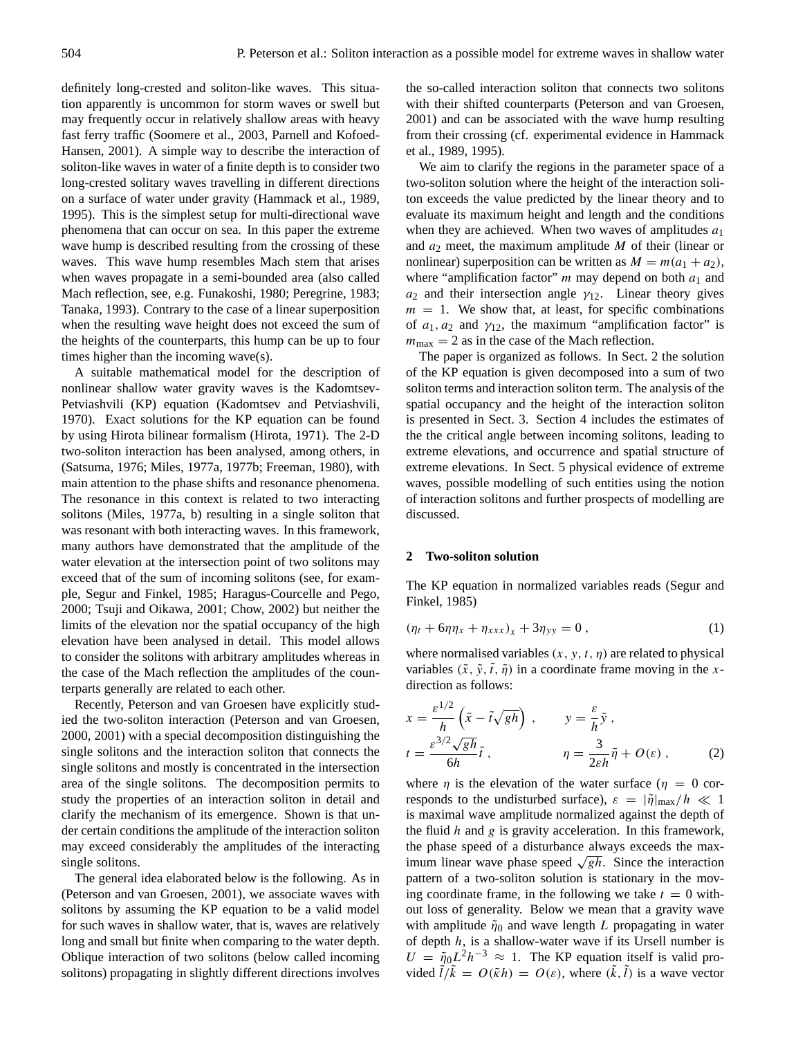definitely long-crested and soliton-like waves. This situation apparently is uncommon for storm waves or swell but may frequently occur in relatively shallow areas with heavy fast ferry traffic (Soomere et al., 2003, Parnell and Kofoed-Hansen, 2001). A simple way to describe the interaction of soliton-like waves in water of a finite depth is to consider two long-crested solitary waves travelling in different directions on a surface of water under gravity (Hammack et al., 1989, 1995). This is the simplest setup for multi-directional wave phenomena that can occur on sea. In this paper the extreme wave hump is described resulting from the crossing of these waves. This wave hump resembles Mach stem that arises when waves propagate in a semi-bounded area (also called Mach reflection, see, e.g. Funakoshi, 1980; Peregrine, 1983; Tanaka, 1993). Contrary to the case of a linear superposition when the resulting wave height does not exceed the sum of the heights of the counterparts, this hump can be up to four times higher than the incoming wave(s).

A suitable mathematical model for the description of nonlinear shallow water gravity waves is the Kadomtsev-Petviashvili (KP) equation (Kadomtsev and Petviashvili, 1970). Exact solutions for the KP equation can be found by using Hirota bilinear formalism (Hirota, 1971). The 2-D two-soliton interaction has been analysed, among others, in (Satsuma, 1976; Miles, 1977a, 1977b; Freeman, 1980), with main attention to the phase shifts and resonance phenomena. The resonance in this context is related to two interacting solitons (Miles, 1977a, b) resulting in a single soliton that was resonant with both interacting waves. In this framework, many authors have demonstrated that the amplitude of the water elevation at the intersection point of two solitons may exceed that of the sum of incoming solitons (see, for example, Segur and Finkel, 1985; Haragus-Courcelle and Pego, 2000; Tsuji and Oikawa, 2001; Chow, 2002) but neither the limits of the elevation nor the spatial occupancy of the high elevation have been analysed in detail. This model allows to consider the solitons with arbitrary amplitudes whereas in the case of the Mach reflection the amplitudes of the counterparts generally are related to each other.

Recently, Peterson and van Groesen have explicitly studied the two-soliton interaction (Peterson and van Groesen, 2000, 2001) with a special decomposition distinguishing the single solitons and the interaction soliton that connects the single solitons and mostly is concentrated in the intersection area of the single solitons. The decomposition permits to study the properties of an interaction soliton in detail and clarify the mechanism of its emergence. Shown is that under certain conditions the amplitude of the interaction soliton may exceed considerably the amplitudes of the interacting single solitons.

The general idea elaborated below is the following. As in (Peterson and van Groesen, 2001), we associate waves with solitons by assuming the KP equation to be a valid model for such waves in shallow water, that is, waves are relatively long and small but finite when comparing to the water depth. Oblique interaction of two solitons (below called incoming solitons) propagating in slightly different directions involves the so-called interaction soliton that connects two solitons with their shifted counterparts (Peterson and van Groesen, 2001) and can be associated with the wave hump resulting from their crossing (cf. experimental evidence in Hammack et al., 1989, 1995).

We aim to clarify the regions in the parameter space of a two-soliton solution where the height of the interaction soliton exceeds the value predicted by the linear theory and to evaluate its maximum height and length and the conditions when they are achieved. When two waves of amplitudes  $a_1$ and  $a_2$  meet, the maximum amplitude M of their (linear or nonlinear) superposition can be written as  $M = m(a_1 + a_2)$ , where "amplification factor"  $m$  may depend on both  $a_1$  and  $a_2$  and their intersection angle  $\gamma_{12}$ . Linear theory gives  $m = 1$ . We show that, at least, for specific combinations of  $a_1, a_2$  and  $\gamma_{12}$ , the maximum "amplification factor" is  $m_{\text{max}} = 2$  as in the case of the Mach reflection.

The paper is organized as follows. In Sect. 2 the solution of the KP equation is given decomposed into a sum of two soliton terms and interaction soliton term. The analysis of the spatial occupancy and the height of the interaction soliton is presented in Sect. 3. Section 4 includes the estimates of the the critical angle between incoming solitons, leading to extreme elevations, and occurrence and spatial structure of extreme elevations. In Sect. 5 physical evidence of extreme waves, possible modelling of such entities using the notion of interaction solitons and further prospects of modelling are discussed.

#### **2 Two-soliton solution**

The KP equation in normalized variables reads (Segur and Finkel, 1985)

$$
(\eta_t + 6\eta \eta_x + \eta_{xxx})_x + 3\eta_{yy} = 0 , \qquad (1)
$$

where normalised variables  $(x, y, t, \eta)$  are related to physical variables  $(\tilde{x}, \tilde{y}, \tilde{t}, \tilde{\eta})$  in a coordinate frame moving in the xdirection as follows:

$$
x = \frac{\varepsilon^{1/2}}{h} \left( \tilde{x} - \tilde{t} \sqrt{gh} \right) , \qquad y = \frac{\varepsilon}{h} \tilde{y} ,
$$
  

$$
t = \frac{\varepsilon^{3/2} \sqrt{gh}}{6h} \tilde{t} , \qquad \eta = \frac{3}{2\varepsilon h} \tilde{\eta} + O(\varepsilon) , \qquad (2)
$$

where  $\eta$  is the elevation of the water surface ( $\eta = 0$  corresponds to the undisturbed surface),  $\varepsilon = |\tilde{\eta}|_{\text{max}}/h \ll 1$ is maximal wave amplitude normalized against the depth of the fluid  $h$  and  $g$  is gravity acceleration. In this framework, the phase speed of a disturbance always exceeds the maxthe phase speed of a disturbance always exceeds the maximum linear wave phase speed  $\sqrt{gh}$ . Since the interaction pattern of a two-soliton solution is stationary in the moving coordinate frame, in the following we take  $t = 0$  without loss of generality. Below we mean that a gravity wave with amplitude  $\tilde{\eta}_0$  and wave length L propagating in water of depth  $h$ , is a shallow-water wave if its Ursell number is  $U = \tilde{\eta}_0 L^2 h^{-3} \approx 1$ . The KP equation itself is valid provided  $\tilde{l}/\tilde{k} = O(\tilde{\kappa}h) = O(\varepsilon)$ , where  $(\tilde{k}, \tilde{l})$  is a wave vector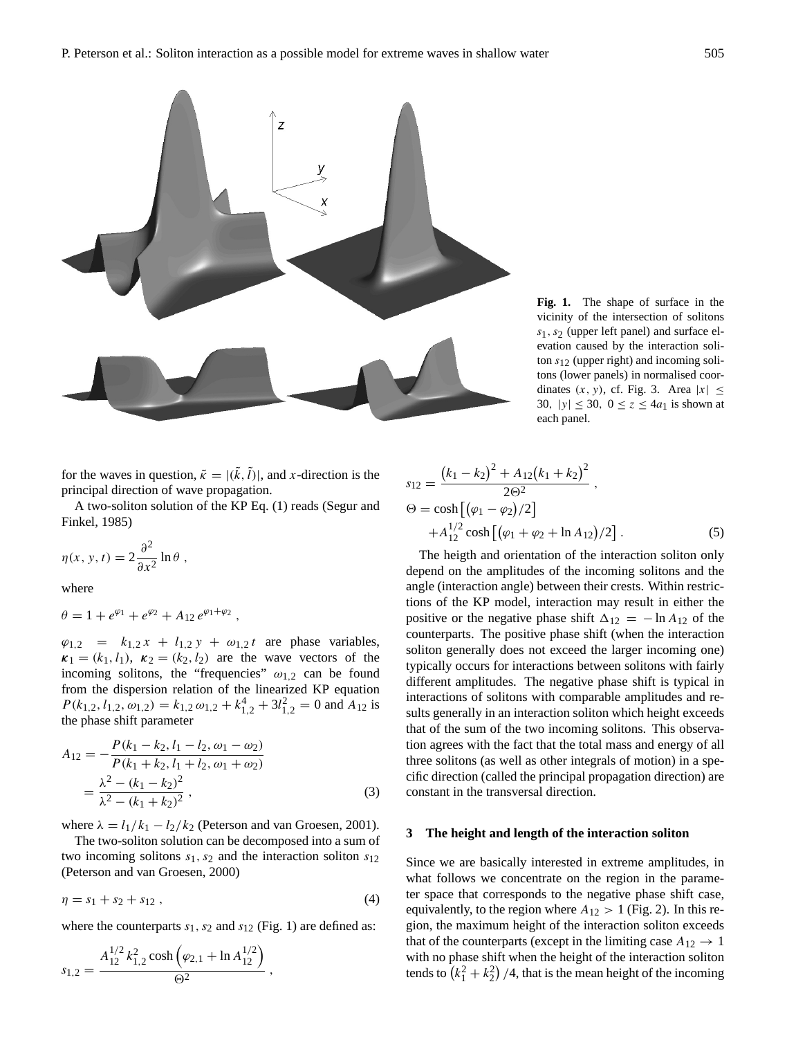

**Fig. 1.** The shape of surface in the vicinity of the intersection of solitons  $s_1$ ,  $s_2$  (upper left panel) and surface elevation caused by the interaction soliton  $s_{12}$  (upper right) and incoming solitons (lower panels) in normalised coordinates  $(x, y)$ , cf. Fig. 3. Area  $|x| \leq$ 30,  $|y| \le 30$ ,  $0 \le z \le 4a_1$  is shown at each panel.

for the waves in question,  $\tilde{\kappa} = |(\tilde{k}, \tilde{l})|$ , and x-direction is the principal direction of wave propagation.

A two-soliton solution of the KP Eq. (1) reads (Segur and Finkel, 1985)

$$
\eta(x, y, t) = 2 \frac{\partial^2}{\partial x^2} \ln \theta ,
$$

where

$$
\theta = 1 + e^{\varphi_1} + e^{\varphi_2} + A_{12} e^{\varphi_1 + \varphi_2} ,
$$

 $\varphi_{1,2} = k_{1,2} x + l_{1,2} y + \omega_{1,2} t$  are phase variables,  $\kappa_1 = (k_1, l_1), \kappa_2 = (k_2, l_2)$  are the wave vectors of the incoming solitons, the "frequencies"  $\omega_{1,2}$  can be found from the dispersion relation of the linearized KP equation  $P(k_{1,2}, l_{1,2}, \omega_{1,2}) = k_{1,2} \omega_{1,2} + k_{1,2}^4 + 3l_{1,2}^2 = 0$  and  $A_{12}$  is the phase shift parameter

$$
A_{12} = -\frac{P(k_1 - k_2, l_1 - l_2, \omega_1 - \omega_2)}{P(k_1 + k_2, l_1 + l_2, \omega_1 + \omega_2)}
$$
  
= 
$$
\frac{\lambda^2 - (k_1 - k_2)^2}{\lambda^2 - (k_1 + k_2)^2},
$$
 (3)

where  $\lambda = l_1/k_1 - l_2/k_2$  (Peterson and van Groesen, 2001).

The two-soliton solution can be decomposed into a sum of two incoming solitons  $s_1$ ,  $s_2$  and the interaction soliton  $s_{12}$ (Peterson and van Groesen, 2000)

$$
\eta = s_1 + s_2 + s_{12} \,, \tag{4}
$$

where the counterparts  $s_1$ ,  $s_2$  and  $s_{12}$  (Fig. 1) are defined as:

$$
s_{1,2} = \frac{A_{12}^{1/2} k_{1,2}^2 \cosh(\varphi_{2,1} + \ln A_{12}^{1/2})}{\Theta^2},
$$

$$
s_{12} = \frac{(k_1 - k_2)^2 + A_{12}(k_1 + k_2)^2}{2\Theta^2},
$$
  
\n
$$
\Theta = \cosh\left[\left(\varphi_1 - \varphi_2\right)/2\right] + A_{12}^{1/2} \cosh\left[\left(\varphi_1 + \varphi_2 + \ln A_{12}\right)/2\right].
$$
\n(5)

The heigth and orientation of the interaction soliton only depend on the amplitudes of the incoming solitons and the angle (interaction angle) between their crests. Within restrictions of the KP model, interaction may result in either the positive or the negative phase shift  $\Delta_{12} = -\ln A_{12}$  of the counterparts. The positive phase shift (when the interaction soliton generally does not exceed the larger incoming one) typically occurs for interactions between solitons with fairly different amplitudes. The negative phase shift is typical in interactions of solitons with comparable amplitudes and results generally in an interaction soliton which height exceeds that of the sum of the two incoming solitons. This observation agrees with the fact that the total mass and energy of all three solitons (as well as other integrals of motion) in a specific direction (called the principal propagation direction) are constant in the transversal direction.

#### **3 The height and length of the interaction soliton**

Since we are basically interested in extreme amplitudes, in what follows we concentrate on the region in the parameter space that corresponds to the negative phase shift case, equivalently, to the region where  $A_{12} > 1$  (Fig. 2). In this region, the maximum height of the interaction soliton exceeds that of the counterparts (except in the limiting case  $A_{12} \rightarrow 1$ with no phase shift when the height of the interaction soliton tends to  $(k_1^2 + k_2^2)$  /4, that is the mean height of the incoming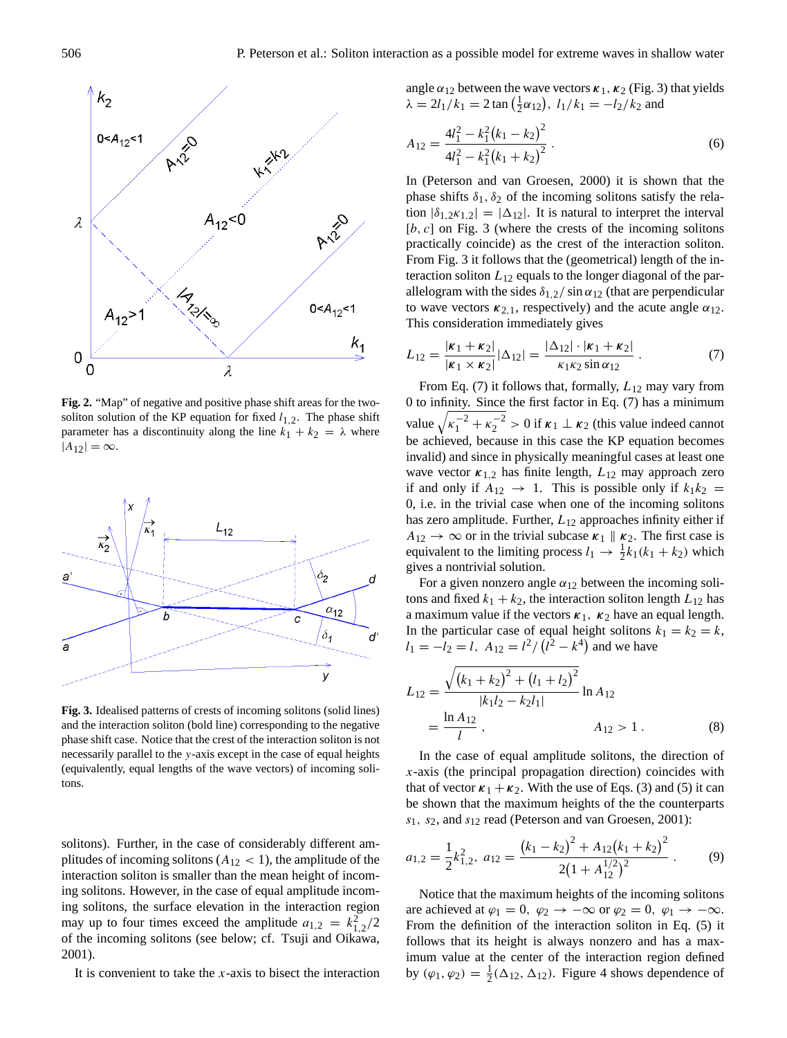

**Fig. 2.** "Map" of negative and positive phase shift areas for the twosoliton solution of the KP equation for fixed  $l_{1,2}$ . The phase shift parameter has a discontinuity along the line  $k_1 + k_2 = \lambda$  where  $|A_{12}| = \infty.$ 



**Fig. 3.** Idealised patterns of crests of incoming solitons (solid lines) and the interaction soliton (bold line) corresponding to the negative phase shift case. Notice that the crest of the interaction soliton is not necessarily parallel to the y-axis except in the case of equal heights (equivalently, equal lengths of the wave vectors) of incoming solitons.

solitons). Further, in the case of considerably different amplitudes of incoming solitons  $(A_{12} < 1)$ , the amplitude of the interaction soliton is smaller than the mean height of incoming solitons. However, in the case of equal amplitude incoming solitons, the surface elevation in the interaction region may up to four times exceed the amplitude  $a_{1,2} = k_{1,2}^2/2$ of the incoming solitons (see below; cf. Tsuji and Oikawa, 2001).

It is convenient to take the  $x$ -axis to bisect the interaction

angle  $\alpha_{12}$  between the wave vectors  $\kappa_1$ ,  $\kappa_2$  (Fig. 3) that yields  $\lambda = 2l_1/k_1 = 2 \tan(\frac{1}{2}\alpha_{12}), l_1/k_1 = -l_2/k_2$  and

$$
A_{12} = \frac{4l_1^2 - k_1^2(k_1 - k_2)^2}{4l_1^2 - k_1^2(k_1 + k_2)^2}.
$$
 (6)

In (Peterson and van Groesen, 2000) it is shown that the phase shifts  $\delta_1$ ,  $\delta_2$  of the incoming solitons satisfy the relation  $|\delta_{1,2}x_{1,2}| = |\Delta_{12}|$ . It is natural to interpret the interval  $[b, c]$  on Fig. 3 (where the crests of the incoming solitons practically coincide) as the crest of the interaction soliton. From Fig. 3 it follows that the (geometrical) length of the interaction soliton  $L_{12}$  equals to the longer diagonal of the parallelogram with the sides  $\delta_{1,2}/\sin \alpha_{12}$  (that are perpendicular to wave vectors  $\kappa_{2,1}$ , respectively) and the acute angle  $\alpha_{12}$ . This consideration immediately gives

$$
L_{12} = \frac{|\kappa_1 + \kappa_2|}{|\kappa_1 \times \kappa_2|} |\Delta_{12}| = \frac{|\Delta_{12}| \cdot |\kappa_1 + \kappa_2|}{\kappa_1 \kappa_2 \sin \alpha_{12}}.
$$
 (7)

From Eq. (7) it follows that, formally,  $L_{12}$  may vary from 0 to infinity. Since the first factor in Eq. (7) has a minimum value  $\sqrt{\kappa_1^{-2} + \kappa_2^{-2}} > 0$  if  $\kappa_1 \perp \kappa_2$  (this value indeed cannot be achieved, because in this case the KP equation becomes invalid) and since in physically meaningful cases at least one wave vector  $\kappa_{1,2}$  has finite length,  $L_{12}$  may approach zero if and only if  $A_{12} \rightarrow 1$ . This is possible only if  $k_1 k_2 =$ 0, i.e. in the trivial case when one of the incoming solitons has zero amplitude. Further,  $L_{12}$  approaches infinity either if  $A_{12} \rightarrow \infty$  or in the trivial subcase  $\kappa_1 \parallel \kappa_2$ . The first case is equivalent to the limiting process  $l_1 \rightarrow \frac{1}{2}k_1(k_1 + k_2)$  which gives a nontrivial solution.

For a given nonzero angle  $\alpha_{12}$  between the incoming solitons and fixed  $k_1 + k_2$ , the interaction soliton length  $L_{12}$  has a maximum value if the vectors  $\kappa_1$ ,  $\kappa_2$  have an equal length. In the particular case of equal height solitons  $k_1 = k_2 = k$ ,  $l_1 = -l_2 = l$ ,  $A_{12} = l^2 / (l^2 - k^4)$  and we have

$$
L_{12} = \frac{\sqrt{(k_1 + k_2)^2 + (l_1 + l_2)^2}}{|k_1 l_2 - k_2 l_1|} \ln A_{12}
$$
  
=  $\frac{\ln A_{12}}{l}$ ,  $A_{12} > 1$ . (8)

In the case of equal amplitude solitons, the direction of  $x$ -axis (the principal propagation direction) coincides with that of vector  $\kappa_1 + \kappa_2$ . With the use of Eqs. (3) and (5) it can be shown that the maximum heights of the the counterparts  $s_1$ ,  $s_2$ , and  $s_{12}$  read (Peterson and van Groesen, 2001):

$$
a_{1,2} = \frac{1}{2}k_{1,2}^2, \ a_{12} = \frac{(k_1 - k_2)^2 + A_{12}(k_1 + k_2)^2}{2(1 + A_{12}^{1/2})^2}.
$$
 (9)

Notice that the maximum heights of the incoming solitons are achieved at  $\varphi_1 = 0$ ,  $\varphi_2 \to -\infty$  or  $\varphi_2 = 0$ ,  $\varphi_1 \to -\infty$ . From the definition of the interaction soliton in Eq. (5) it follows that its height is always nonzero and has a maximum value at the center of the interaction region defined by  $(\varphi_1, \varphi_2) = \frac{1}{2}(\Delta_{12}, \Delta_{12})$ . Figure 4 shows dependence of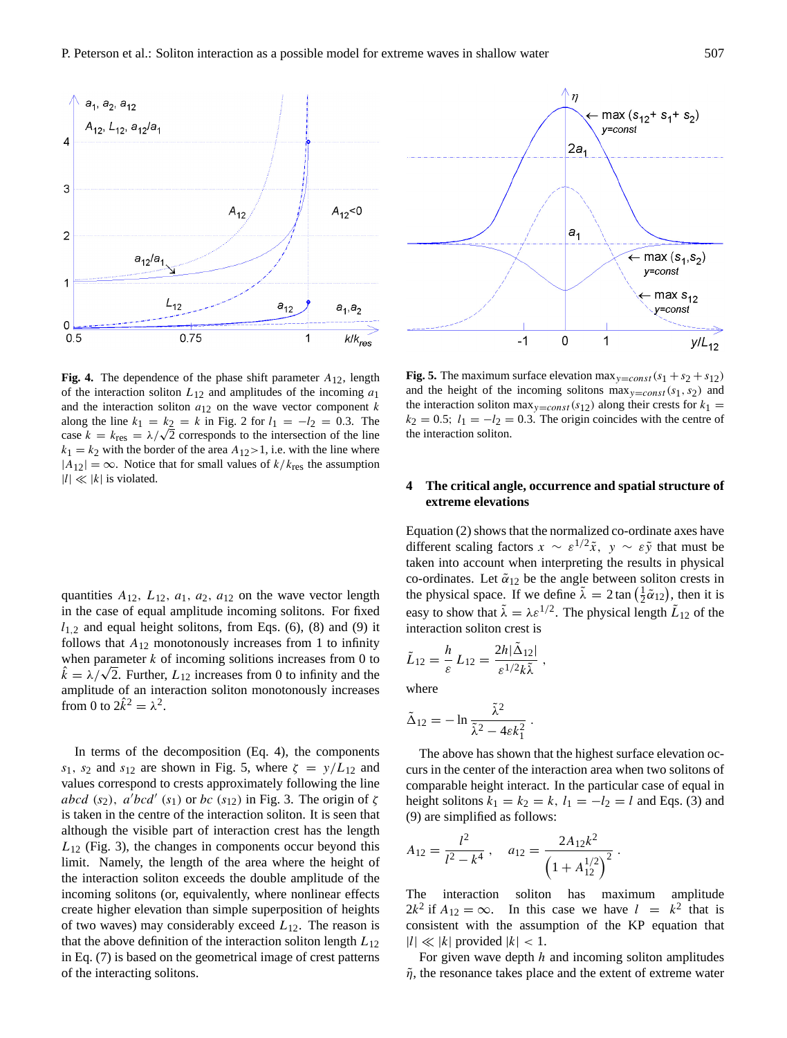

**Fig. 4.** The dependence of the phase shift parameter  $A_{12}$ , length of the interaction soliton  $L_{12}$  and amplitudes of the incoming  $a_1$ and the interaction soliton  $a_{12}$  on the wave vector component k along the line  $k_1 = k_2 = k$  in Fig. 2 for  $l_1 = -l_2 = 0.3$ . The case  $k = k_{\text{res}} = \lambda/\sqrt{2}$  corresponds to the intersection of the line  $k_1 = k_2$  with the border of the area  $A_{12} > 1$ , i.e. with the line where  $|A_{12}| = \infty$ . Notice that for small values of  $k/k_{\text{res}}$  the assumption  $|l| \ll |k|$  is violated.

quantities  $A_{12}$ ,  $L_{12}$ ,  $a_1$ ,  $a_2$ ,  $a_{12}$  on the wave vector length in the case of equal amplitude incoming solitons. For fixed  $l_{1,2}$  and equal height solitons, from Eqs. (6), (8) and (9) it follows that  $A_{12}$  monotonously increases from 1 to infinity when parameter  $k$  of incoming solitions increases from 0 to when parameter k of incoming solitions increases from 0 to  $\hat{k} = \lambda/\sqrt{2}$ . Further,  $L_{12}$  increases from 0 to infinity and the amplitude of an interaction soliton monotonously increases from 0 to  $2\hat{k}^2 = \lambda^2$ .

In terms of the decomposition (Eq. 4), the components s<sub>1</sub>, s<sub>2</sub> and s<sub>12</sub> are shown in Fig. 5, where  $\zeta = y/L_{12}$  and values correspond to crests approximately following the line abcd (s<sub>2</sub>), a<sup>'</sup>bcd' (s<sub>1</sub>) or bc (s<sub>12</sub>) in Fig. 3. The origin of  $\zeta$ is taken in the centre of the interaction soliton. It is seen that although the visible part of interaction crest has the length  $L_{12}$  (Fig. 3), the changes in components occur beyond this limit. Namely, the length of the area where the height of the interaction soliton exceeds the double amplitude of the incoming solitons (or, equivalently, where nonlinear effects create higher elevation than simple superposition of heights of two waves) may considerably exceed  $L_{12}$ . The reason is that the above definition of the interaction soliton length  $L_{12}$ in Eq. (7) is based on the geometrical image of crest patterns of the interacting solitons.



**Fig. 5.** The maximum surface elevation max<sub>y=const</sub>  $(s_1 + s_2 + s_{12})$ and the height of the incoming solitons  $\max_{y=const}(s_1, s_2)$  and the interaction soliton max<sub>y=const</sub>(s<sub>12</sub>) along their crests for  $k_1$  =  $k_2 = 0.5$ ;  $l_1 = -l_2 = 0.3$ . The origin coincides with the centre of the interaction soliton.

## **4 The critical angle, occurrence and spatial structure of extreme elevations**

Equation (2) shows that the normalized co-ordinate axes have different scaling factors  $x \sim \varepsilon^{1/2} \tilde{x}$ ,  $y \sim \varepsilon \tilde{y}$  that must be taken into account when interpreting the results in physical co-ordinates. Let  $\tilde{\alpha}_{12}$  be the angle between soliton crests in the physical space. If we define  $\tilde{\lambda} = 2 \tan \left( \frac{1}{2} \tilde{\alpha}_{12} \right)$ , then it is easy to show that  $\tilde{\lambda} = \lambda \varepsilon^{1/2}$ . The physical length  $\tilde{L}_{12}$  of the interaction soliton crest is

$$
\tilde{L}_{12} = \frac{h}{\varepsilon} L_{12} = \frac{2h|\tilde{\Delta}_{12}|}{\varepsilon^{1/2}k\tilde{\lambda}},
$$

where

$$
\tilde{\Delta}_{12} = -\ln \frac{\tilde{\lambda}^2}{\tilde{\lambda}^2 - 4\epsilon k_1^2} \, .
$$

The above has shown that the highest surface elevation occurs in the center of the interaction area when two solitons of comparable height interact. In the particular case of equal in height solitons  $k_1 = k_2 = k$ ,  $l_1 = -l_2 = l$  and Eqs. (3) and (9) are simplified as follows:

$$
A_{12} = \frac{l^2}{l^2 - k^4} , \quad a_{12} = \frac{2A_{12}k^2}{\left(1 + A_{12}^{1/2}\right)^2} .
$$

The interaction soliton has maximum amplitude  $2k^2$  if  $A_{12} = \infty$ . In this case we have  $l = k^2$  that is consistent with the assumption of the KP equation that  $|l| \ll |k|$  provided  $|k| < 1$ .

For given wave depth  $h$  and incoming soliton amplitudes  $\tilde{\eta}$ , the resonance takes place and the extent of extreme water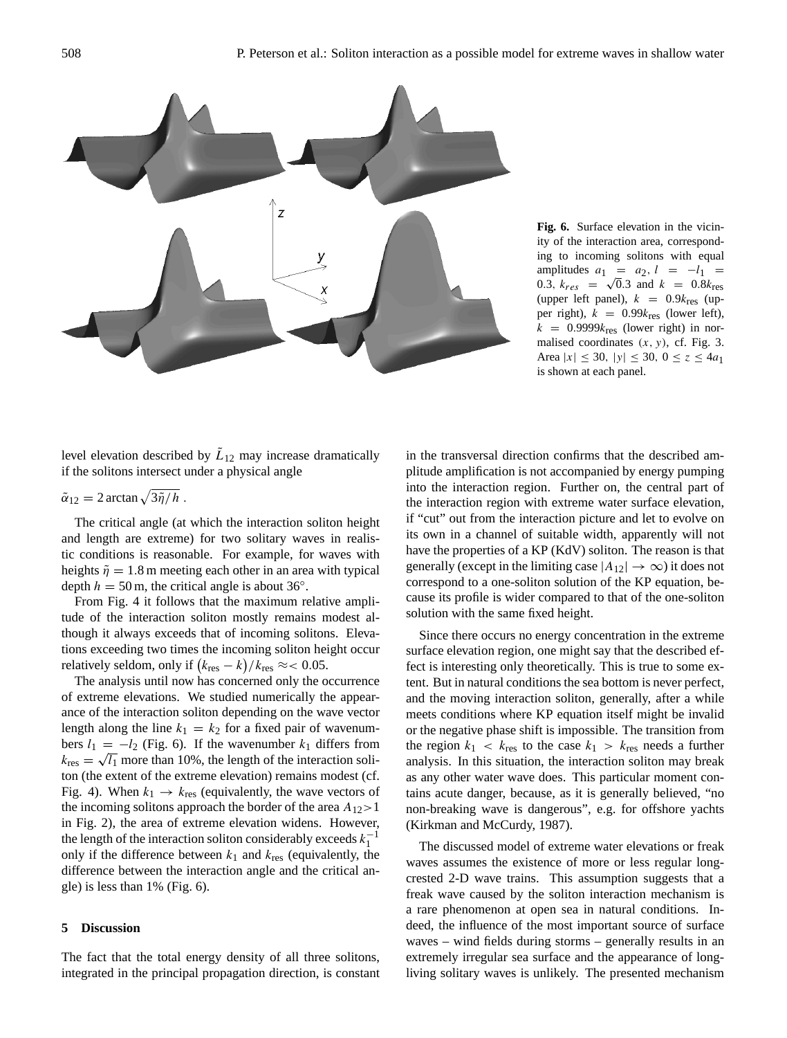

**Fig. 6.** Surface elevation in the vicinity of the interaction area, corresponding to incoming solitons with equal amplitudes  $a_1 = a_2, l = -l_1 =$ 0.3,  $k_{res}$  =  $\sqrt{0.3}$  and  $k$  = 0.8 $k_{res}$ (upper left panel),  $k = 0.9k_{res}$  (upper right),  $k = 0.99k_{res}$  (lower left),  $k = 0.9999k_{\text{res}}$  (lower right) in normalised coordinates  $(x, y)$ , cf. Fig. 3. Area  $|x| \le 30$ ,  $|y| \le 30$ ,  $0 \le z \le 4a_1$ is shown at each panel.

level elevation described by  $\tilde{L}_{12}$  may increase dramatically if the solitons intersect under a physical angle

$$
\tilde{\alpha}_{12}=2\arctan\sqrt{3\tilde{\eta}/h}.
$$

The critical angle (at which the interaction soliton height and length are extreme) for two solitary waves in realistic conditions is reasonable. For example, for waves with heights  $\tilde{\eta} = 1.8$  m meeting each other in an area with typical depth  $h = 50$  m, the critical angle is about 36°.

From Fig. 4 it follows that the maximum relative amplitude of the interaction soliton mostly remains modest although it always exceeds that of incoming solitons. Elevations exceeding two times the incoming soliton height occur relatively seldom, only if  $(k_{\text{res}} - k)/k_{\text{res}} \approx 0.05$ .

The analysis until now has concerned only the occurrence of extreme elevations. We studied numerically the appearance of the interaction soliton depending on the wave vector length along the line  $k_1 = k_2$  for a fixed pair of wavenumbers  $l_1 = -l_2$  (Fig. 6). If the wavenumber  $k_1$  differs from  $k_{\text{res}} = \sqrt{I_1}$  more than 10%, the length of the interaction soliton (the extent of the extreme elevation) remains modest (cf. Fig. 4). When  $k_1 \rightarrow k_{\text{res}}$  (equivalently, the wave vectors of the incoming solitons approach the border of the area  $A_{12}$  > 1 in Fig. 2), the area of extreme elevation widens. However, the length of the interaction soliton considerably exceeds  $k_1^{-1}$ only if the difference between  $k_1$  and  $k_{res}$  (equivalently, the difference between the interaction angle and the critical angle) is less than 1% (Fig. 6).

#### **5 Discussion**

The fact that the total energy density of all three solitons, integrated in the principal propagation direction, is constant in the transversal direction confirms that the described amplitude amplification is not accompanied by energy pumping into the interaction region. Further on, the central part of the interaction region with extreme water surface elevation, if "cut" out from the interaction picture and let to evolve on its own in a channel of suitable width, apparently will not have the properties of a KP (KdV) soliton. The reason is that generally (except in the limiting case  $|A_{12}| \rightarrow \infty$ ) it does not correspond to a one-soliton solution of the KP equation, because its profile is wider compared to that of the one-soliton solution with the same fixed height.

Since there occurs no energy concentration in the extreme surface elevation region, one might say that the described effect is interesting only theoretically. This is true to some extent. But in natural conditions the sea bottom is never perfect, and the moving interaction soliton, generally, after a while meets conditions where KP equation itself might be invalid or the negative phase shift is impossible. The transition from the region  $k_1 \, < \, k_{\text{res}}$  to the case  $k_1 \, > \, k_{\text{res}}$  needs a further analysis. In this situation, the interaction soliton may break as any other water wave does. This particular moment contains acute danger, because, as it is generally believed, "no non-breaking wave is dangerous", e.g. for offshore yachts (Kirkman and McCurdy, 1987).

The discussed model of extreme water elevations or freak waves assumes the existence of more or less regular longcrested 2-D wave trains. This assumption suggests that a freak wave caused by the soliton interaction mechanism is a rare phenomenon at open sea in natural conditions. Indeed, the influence of the most important source of surface waves – wind fields during storms – generally results in an extremely irregular sea surface and the appearance of longliving solitary waves is unlikely. The presented mechanism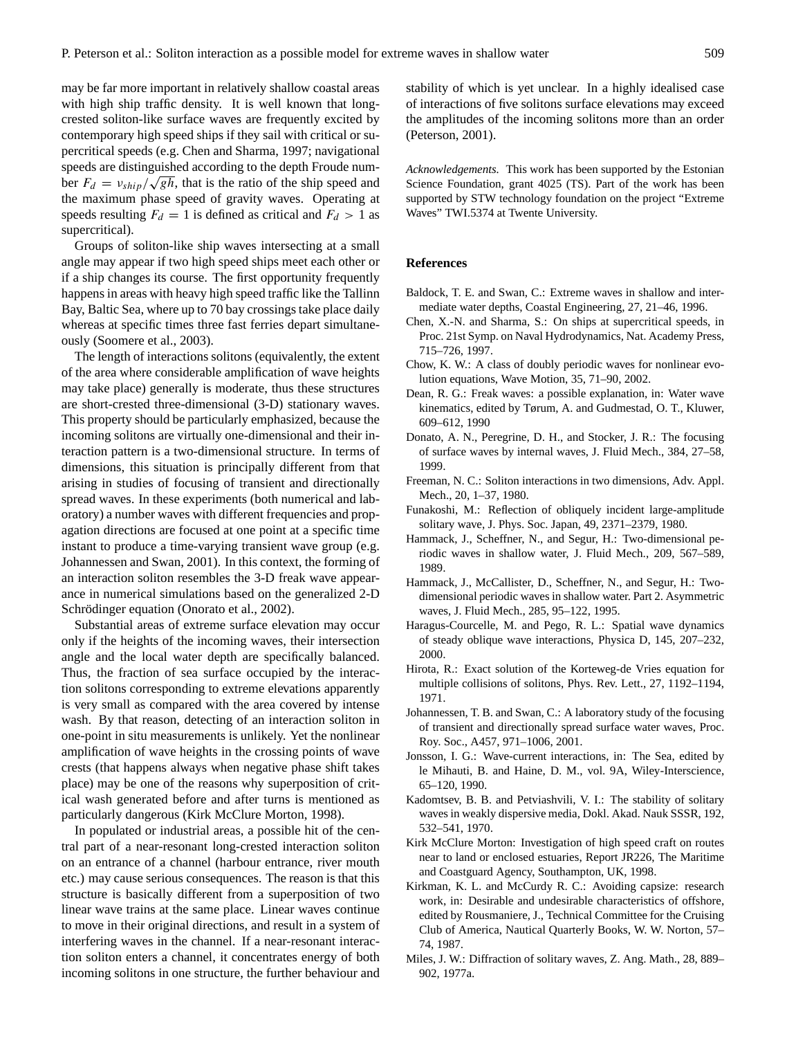may be far more important in relatively shallow coastal areas with high ship traffic density. It is well known that longcrested soliton-like surface waves are frequently excited by contemporary high speed ships if they sail with critical or supercritical speeds (e.g. Chen and Sharma, 1997; navigational speeds are distinguished according to the depth Froude number  $F_d = v_{ship}/\sqrt{gh}$ , that is the ratio of the ship speed and the maximum phase speed of gravity waves. Operating at speeds resulting  $F_d = 1$  is defined as critical and  $F_d > 1$  as supercritical).

Groups of soliton-like ship waves intersecting at a small angle may appear if two high speed ships meet each other or if a ship changes its course. The first opportunity frequently happens in areas with heavy high speed traffic like the Tallinn Bay, Baltic Sea, where up to 70 bay crossings take place daily whereas at specific times three fast ferries depart simultaneously (Soomere et al., 2003).

The length of interactions solitons (equivalently, the extent of the area where considerable amplification of wave heights may take place) generally is moderate, thus these structures are short-crested three-dimensional (3-D) stationary waves. This property should be particularly emphasized, because the incoming solitons are virtually one-dimensional and their interaction pattern is a two-dimensional structure. In terms of dimensions, this situation is principally different from that arising in studies of focusing of transient and directionally spread waves. In these experiments (both numerical and laboratory) a number waves with different frequencies and propagation directions are focused at one point at a specific time instant to produce a time-varying transient wave group (e.g. Johannessen and Swan, 2001). In this context, the forming of an interaction soliton resembles the 3-D freak wave appearance in numerical simulations based on the generalized 2-D Schrödinger equation (Onorato et al., 2002).

Substantial areas of extreme surface elevation may occur only if the heights of the incoming waves, their intersection angle and the local water depth are specifically balanced. Thus, the fraction of sea surface occupied by the interaction solitons corresponding to extreme elevations apparently is very small as compared with the area covered by intense wash. By that reason, detecting of an interaction soliton in one-point in situ measurements is unlikely. Yet the nonlinear amplification of wave heights in the crossing points of wave crests (that happens always when negative phase shift takes place) may be one of the reasons why superposition of critical wash generated before and after turns is mentioned as particularly dangerous (Kirk McClure Morton, 1998).

In populated or industrial areas, a possible hit of the central part of a near-resonant long-crested interaction soliton on an entrance of a channel (harbour entrance, river mouth etc.) may cause serious consequences. The reason is that this structure is basically different from a superposition of two linear wave trains at the same place. Linear waves continue to move in their original directions, and result in a system of interfering waves in the channel. If a near-resonant interaction soliton enters a channel, it concentrates energy of both incoming solitons in one structure, the further behaviour and

stability of which is yet unclear. In a highly idealised case of interactions of five solitons surface elevations may exceed the amplitudes of the incoming solitons more than an order (Peterson, 2001).

*Acknowledgements.* This work has been supported by the Estonian Science Foundation, grant 4025 (TS). Part of the work has been supported by STW technology foundation on the project "Extreme Waves" TWI.5374 at Twente University.

### **References**

- Baldock, T. E. and Swan, C.: Extreme waves in shallow and intermediate water depths, Coastal Engineering, 27, 21–46, 1996.
- Chen, X.-N. and Sharma, S.: On ships at supercritical speeds, in Proc. 21st Symp. on Naval Hydrodynamics, Nat. Academy Press, 715–726, 1997.
- Chow, K. W.: A class of doubly periodic waves for nonlinear evolution equations, Wave Motion, 35, 71–90, 2002.
- Dean, R. G.: Freak waves: a possible explanation, in: Water wave kinematics, edited by Tørum, A. and Gudmestad, O. T., Kluwer, 609–612, 1990
- Donato, A. N., Peregrine, D. H., and Stocker, J. R.: The focusing of surface waves by internal waves, J. Fluid Mech., 384, 27–58, 1999.
- Freeman, N. C.: Soliton interactions in two dimensions, Adv. Appl. Mech., 20, 1–37, 1980.
- Funakoshi, M.: Reflection of obliquely incident large-amplitude solitary wave, J. Phys. Soc. Japan, 49, 2371–2379, 1980.
- Hammack, J., Scheffner, N., and Segur, H.: Two-dimensional periodic waves in shallow water, J. Fluid Mech., 209, 567–589, 1989.
- Hammack, J., McCallister, D., Scheffner, N., and Segur, H.: Twodimensional periodic waves in shallow water. Part 2. Asymmetric waves, J. Fluid Mech., 285, 95–122, 1995.
- Haragus-Courcelle, M. and Pego, R. L.: Spatial wave dynamics of steady oblique wave interactions, Physica D, 145, 207–232, 2000.
- Hirota, R.: Exact solution of the Korteweg-de Vries equation for multiple collisions of solitons, Phys. Rev. Lett., 27, 1192–1194, 1971.
- Johannessen, T. B. and Swan, C.: A laboratory study of the focusing of transient and directionally spread surface water waves, Proc. Roy. Soc., A457, 971–1006, 2001.
- Jonsson, I. G.: Wave-current interactions, in: The Sea, edited by le Mihauti, B. and Haine, D. M., vol. 9A, Wiley-Interscience, 65–120, 1990.
- Kadomtsev, B. B. and Petviashvili, V. I.: The stability of solitary waves in weakly dispersive media, Dokl. Akad. Nauk SSSR, 192, 532–541, 1970.
- Kirk McClure Morton: Investigation of high speed craft on routes near to land or enclosed estuaries, Report JR226, The Maritime and Coastguard Agency, Southampton, UK, 1998.
- Kirkman, K. L. and McCurdy R. C.: Avoiding capsize: research work, in: Desirable and undesirable characteristics of offshore, edited by Rousmaniere, J., Technical Committee for the Cruising Club of America, Nautical Quarterly Books, W. W. Norton, 57– 74, 1987.
- Miles, J. W.: Diffraction of solitary waves, Z. Ang. Math., 28, 889– 902, 1977a.